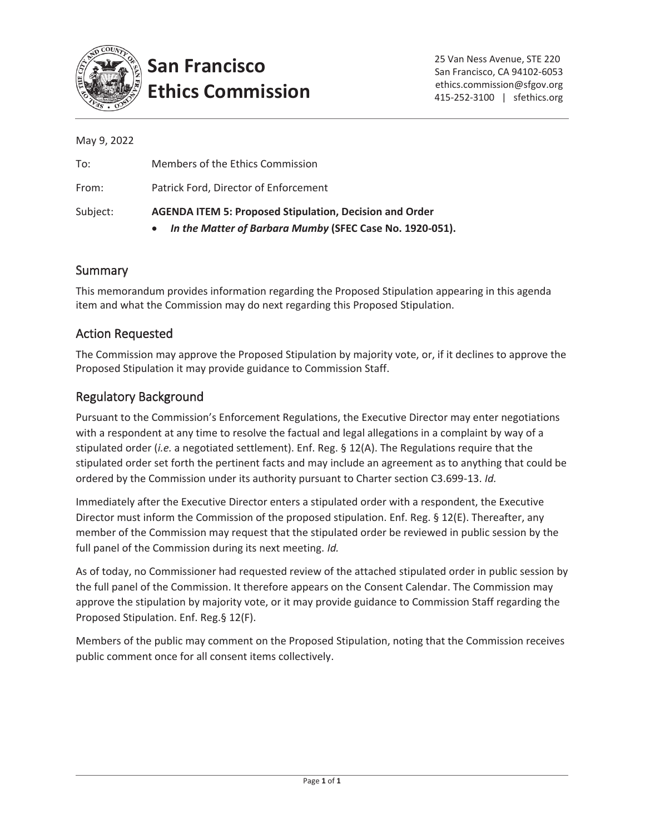

# **San Francisco Ethics Commission**

| Subject:    | <b>AGENDA ITEM 5: Proposed Stipulation, Decision and Order</b><br>In the Matter of Barbara Mumby (SFEC Case No. 1920-051).<br>$\bullet$ |
|-------------|-----------------------------------------------------------------------------------------------------------------------------------------|
| From:       | Patrick Ford, Director of Enforcement                                                                                                   |
| To:         | Members of the Ethics Commission                                                                                                        |
| May 9, 2022 |                                                                                                                                         |

# **Summary**

This memorandum provides information regarding the Proposed Stipulation appearing in this agenda item and what the Commission may do next regarding this Proposed Stipulation.

# Action Requested

The Commission may approve the Proposed Stipulation by majority vote, or, if it declines to approve the Proposed Stipulation it may provide guidance to Commission Staff.

# Regulatory Background

Pursuant to the Commission's Enforcement Regulations, the Executive Director may enter negotiations with a respondent at any time to resolve the factual and legal allegations in a complaint by way of a stipulated order (*i.e.* a negotiated settlement). Enf. Reg. § 12(A). The Regulations require that the stipulated order set forth the pertinent facts and may include an agreement as to anything that could be ordered by the Commission under its authority pursuant to Charter section C3.699-13. *Id.*

Immediately after the Executive Director enters a stipulated order with a respondent, the Executive Director must inform the Commission of the proposed stipulation. Enf. Reg. § 12(E). Thereafter, any member of the Commission may request that the stipulated order be reviewed in public session by the full panel of the Commission during its next meeting. *Id.*

As of today, no Commissioner had requested review of the attached stipulated order in public session by the full panel of the Commission. It therefore appears on the Consent Calendar. The Commission may approve the stipulation by majority vote, or it may provide guidance to Commission Staff regarding the Proposed Stipulation. Enf. Reg.§ 12(F).

Members of the public may comment on the Proposed Stipulation, noting that the Commission receives public comment once for all consent items collectively.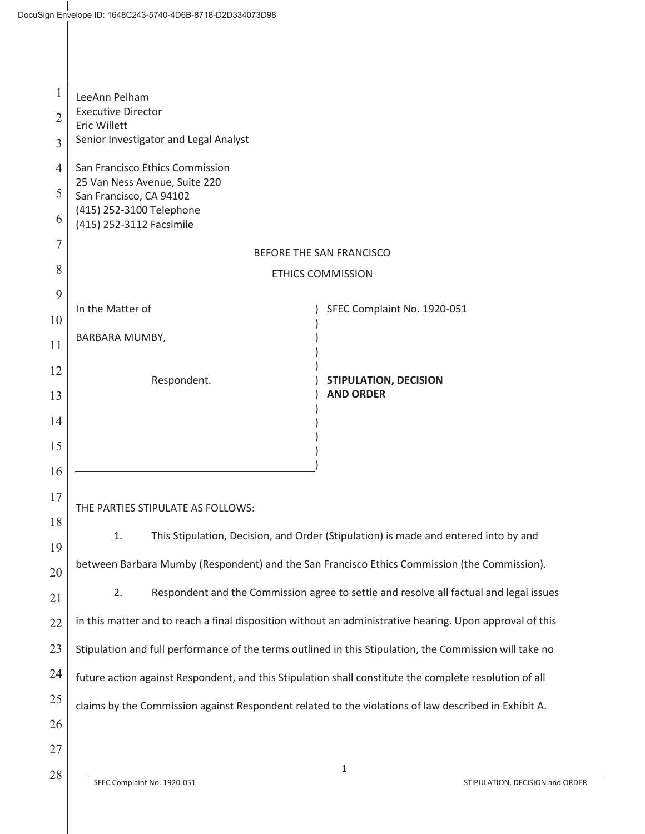| 1              | LeeAnn Pelham                                                                                            |                                      |  |  |  |
|----------------|----------------------------------------------------------------------------------------------------------|--------------------------------------|--|--|--|
| $\overline{2}$ | <b>Executive Director</b><br>Eric Willett                                                                |                                      |  |  |  |
| 3              | Senior Investigator and Legal Analyst                                                                    |                                      |  |  |  |
| $\overline{4}$ | San Francisco Ethics Commission                                                                          |                                      |  |  |  |
| 5              | 25 Van Ness Avenue, Suite 220<br>San Francisco, CA 94102                                                 |                                      |  |  |  |
| 6              | (415) 252-3100 Telephone<br>(415) 252-3112 Facsimile                                                     |                                      |  |  |  |
| $\overline{7}$ | BEFORE THE SAN FRANCISCO                                                                                 |                                      |  |  |  |
| 8              | <b>ETHICS COMMISSION</b>                                                                                 |                                      |  |  |  |
| 9              | In the Matter of                                                                                         | SFEC Complaint No. 1920-051          |  |  |  |
| 10             |                                                                                                          |                                      |  |  |  |
| 11             | BARBARA MUMBY,                                                                                           |                                      |  |  |  |
| 12             | Respondent.                                                                                              | <b>STIPULATION, DECISION</b>         |  |  |  |
| 13             |                                                                                                          | <b>AND ORDER</b>                     |  |  |  |
| 14             |                                                                                                          |                                      |  |  |  |
| 15             |                                                                                                          |                                      |  |  |  |
| 16             |                                                                                                          |                                      |  |  |  |
| 17             | THE PARTIES STIPULATE AS FOLLOWS:                                                                        |                                      |  |  |  |
| 18             | 1.<br>This Stipulation, Decision, and Order (Stipulation) is made and entered into by and                |                                      |  |  |  |
| 19<br>20       | between Barbara Mumby (Respondent) and the San Francisco Ethics Commission (the Commission).             |                                      |  |  |  |
| 21             | 2.<br>Respondent and the Commission agree to settle and resolve all factual and legal issues             |                                      |  |  |  |
| 22             | in this matter and to reach a final disposition without an administrative hearing. Upon approval of this |                                      |  |  |  |
| 23             | Stipulation and full performance of the terms outlined in this Stipulation, the Commission will take no  |                                      |  |  |  |
| 24             | future action against Respondent, and this Stipulation shall constitute the complete resolution of all   |                                      |  |  |  |
| 25             | claims by the Commission against Respondent related to the violations of law described in Exhibit A.     |                                      |  |  |  |
| 26             |                                                                                                          |                                      |  |  |  |
| 27             |                                                                                                          |                                      |  |  |  |
| 28             | SFEC Complaint No. 1920-051                                                                              | 1<br>STIPULATION, DECISION and ORDER |  |  |  |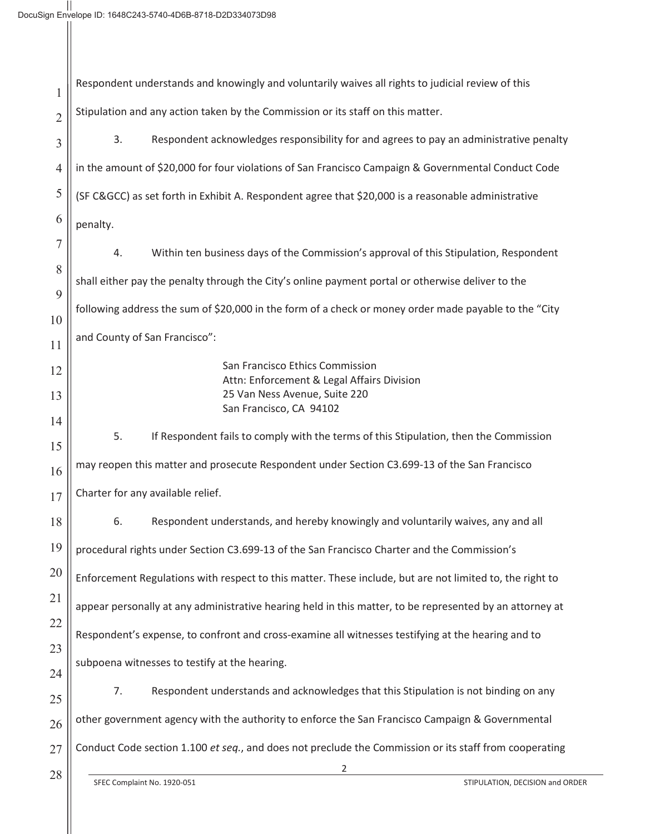| 1              | Respondent understands and knowingly and voluntarily waives all rights to judicial review of this        |
|----------------|----------------------------------------------------------------------------------------------------------|
| $\overline{2}$ | Stipulation and any action taken by the Commission or its staff on this matter.                          |
| 3              | 3.<br>Respondent acknowledges responsibility for and agrees to pay an administrative penalty             |
| $\overline{4}$ | in the amount of \$20,000 for four violations of San Francisco Campaign & Governmental Conduct Code      |
| 5              | (SF C&GCC) as set forth in Exhibit A. Respondent agree that \$20,000 is a reasonable administrative      |
| 6              | penalty.                                                                                                 |
| $\overline{7}$ | Within ten business days of the Commission's approval of this Stipulation, Respondent<br>4.              |
| 8              | shall either pay the penalty through the City's online payment portal or otherwise deliver to the        |
| 9<br>10        | following address the sum of \$20,000 in the form of a check or money order made payable to the "City    |
| 11             | and County of San Francisco":                                                                            |
| 12             | San Francisco Ethics Commission                                                                          |
| 13             | Attn: Enforcement & Legal Affairs Division<br>25 Van Ness Avenue, Suite 220                              |
| 14             | San Francisco, CA 94102                                                                                  |
| 15             | 5.<br>If Respondent fails to comply with the terms of this Stipulation, then the Commission              |
| 16             | may reopen this matter and prosecute Respondent under Section C3.699-13 of the San Francisco             |
| 17             | Charter for any available relief.                                                                        |
| 18             | 6.<br>Respondent understands, and hereby knowingly and voluntarily waives, any and all                   |
| 19             | procedural rights under Section C3.699-13 of the San Francisco Charter and the Commission's              |
| 20             | Enforcement Regulations with respect to this matter. These include, but are not limited to, the right to |
| 21             | appear personally at any administrative hearing held in this matter, to be represented by an attorney at |
| 22             | Respondent's expense, to confront and cross-examine all witnesses testifying at the hearing and to       |
| 23<br>24       | subpoena witnesses to testify at the hearing.                                                            |
| 25             | Respondent understands and acknowledges that this Stipulation is not binding on any<br>7.                |
| 26             | other government agency with the authority to enforce the San Francisco Campaign & Governmental          |
| 27             | Conduct Code section 1.100 et seq., and does not preclude the Commission or its staff from cooperating   |
| 28             | 2<br>SFEC Complaint No. 1920-051<br>STIPULATION, DECISION and ORDER                                      |
|                |                                                                                                          |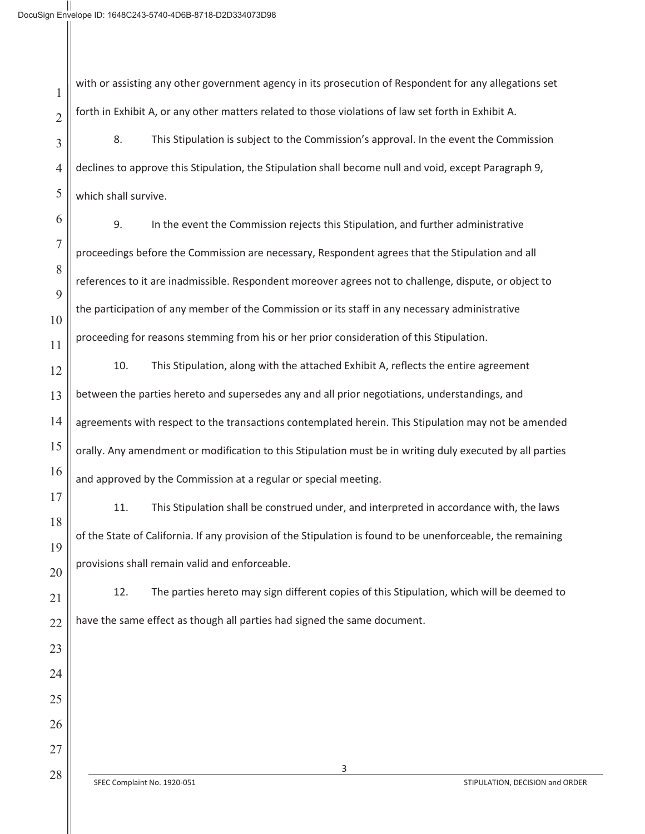with or assisting any other government agency in its prosecution of Respondent for any allegations set forth in Exhibit A, or any other matters related to those violations of law set forth in Exhibit A.

8. This Stipulation is subject to the Commission's approval. In the event the Commission declines to approve this Stipulation, the Stipulation shall become null and void, except Paragraph 9, which shall survive.

6 7

1

2

3

4

5

8

9

10

11

17

18

19

20

21

22

23

24

25

26

27

9. In the event the Commission rejects this Stipulation, and further administrative proceedings before the Commission are necessary, Respondent agrees that the Stipulation and all references to it are inadmissible. Respondent moreover agrees not to challenge, dispute, or object to the participation of any member of the Commission or its staff in any necessary administrative proceeding for reasons stemming from his or her prior consideration of this Stipulation.

12 13 14 15 16 10. This Stipulation, along with the attached Exhibit A, reflects the entire agreement between the parties hereto and supersedes any and all prior negotiations, understandings, and agreements with respect to the transactions contemplated herein. This Stipulation may not be amended orally. Any amendment or modification to this Stipulation must be in writing duly executed by all parties and approved by the Commission at a regular or special meeting.

11. This Stipulation shall be construed under, and interpreted in accordance with, the laws of the State of California. If any provision of the Stipulation is found to be unenforceable, the remaining provisions shall remain valid and enforceable.

12. The parties hereto may sign different copies of this Stipulation, which will be deemed to have the same effect as though all parties had signed the same document.

28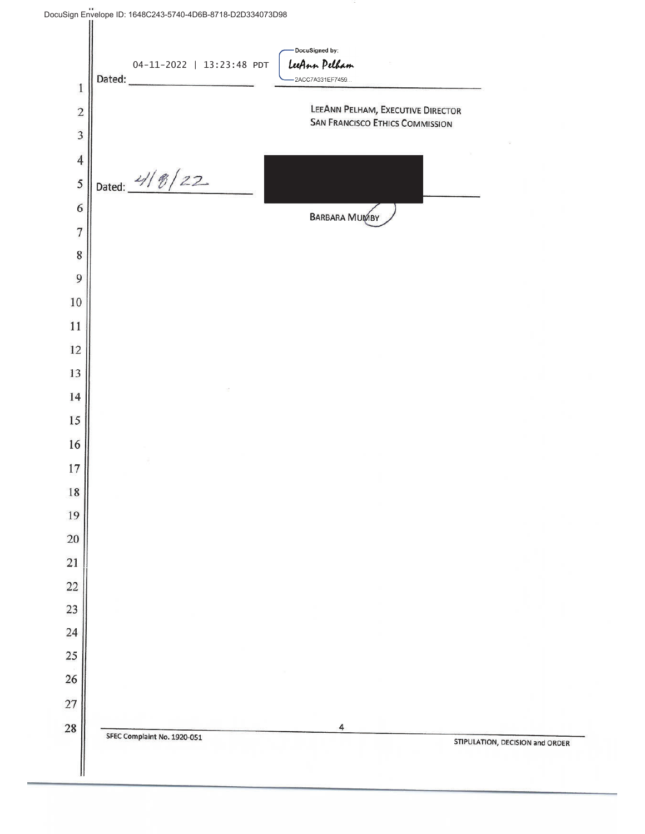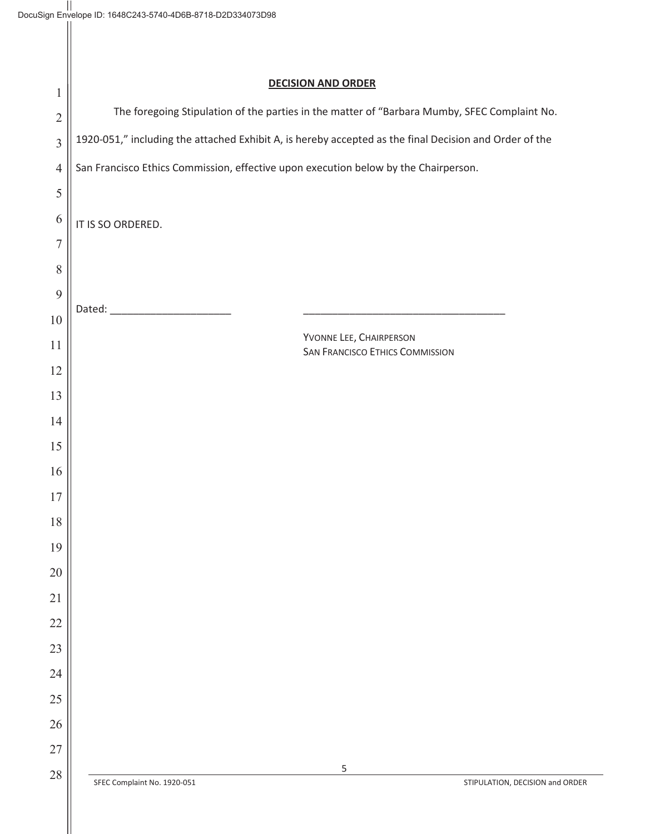| $\mathbf{1}$   | <b>DECISION AND ORDER</b>                                                                              |  |  |
|----------------|--------------------------------------------------------------------------------------------------------|--|--|
| $\overline{2}$ | The foregoing Stipulation of the parties in the matter of "Barbara Mumby, SFEC Complaint No.           |  |  |
| $\overline{3}$ | 1920-051," including the attached Exhibit A, is hereby accepted as the final Decision and Order of the |  |  |
| $\overline{4}$ | San Francisco Ethics Commission, effective upon execution below by the Chairperson.                    |  |  |
| $\mathfrak s$  |                                                                                                        |  |  |
| 6              | IT IS SO ORDERED.                                                                                      |  |  |
| $\overline{7}$ |                                                                                                        |  |  |
| 8              |                                                                                                        |  |  |
| $\mathfrak{g}$ |                                                                                                        |  |  |
| 10             |                                                                                                        |  |  |
| 11             | YVONNE LEE, CHAIRPERSON<br><b>SAN FRANCISCO ETHICS COMMISSION</b>                                      |  |  |
| 12             |                                                                                                        |  |  |
| 13             |                                                                                                        |  |  |
| 14             |                                                                                                        |  |  |
| 15             |                                                                                                        |  |  |
| 16             |                                                                                                        |  |  |
| 17             |                                                                                                        |  |  |
| 18             |                                                                                                        |  |  |
| 19             |                                                                                                        |  |  |
| $20\,$         |                                                                                                        |  |  |
| 21             |                                                                                                        |  |  |
| 22             |                                                                                                        |  |  |
| 23<br>24       |                                                                                                        |  |  |
| $25\,$         |                                                                                                        |  |  |
| 26             |                                                                                                        |  |  |
| 27             |                                                                                                        |  |  |
| $28\,$         | $\mathsf S$                                                                                            |  |  |
|                | SFEC Complaint No. 1920-051<br>STIPULATION, DECISION and ORDER                                         |  |  |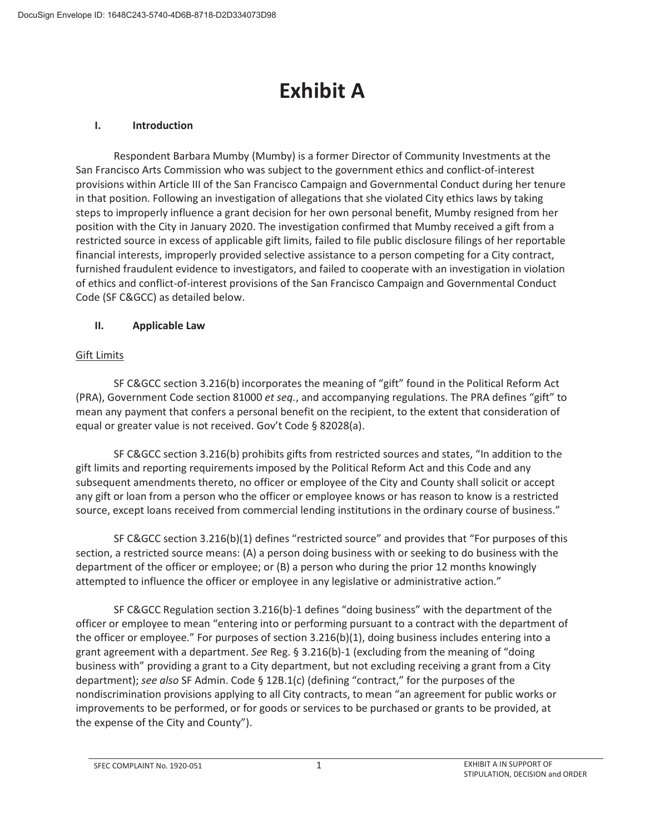# **Exhibit A**

## **I. Introduction**

Respondent Barbara Mumby (Mumby) is a former Director of Community Investments at the San Francisco Arts Commission who was subject to the government ethics and conflict-of-interest provisions within Article III of the San Francisco Campaign and Governmental Conduct during her tenure in that position. Following an investigation of allegations that she violated City ethics laws by taking steps to improperly influence a grant decision for her own personal benefit, Mumby resigned from her position with the City in January 2020. The investigation confirmed that Mumby received a gift from a restricted source in excess of applicable gift limits, failed to file public disclosure filings of her reportable financial interests, improperly provided selective assistance to a person competing for a City contract, furnished fraudulent evidence to investigators, and failed to cooperate with an investigation in violation of ethics and conflict-of-interest provisions of the San Francisco Campaign and Governmental Conduct Code (SF C&GCC) as detailed below.

## **II. Applicable Law**

## Gift Limits

SF C&GCC section 3.216(b) incorporates the meaning of "gift" found in the Political Reform Act (PRA), Government Code section 81000 *et seq.*, and accompanying regulations. The PRA defines "gift" to mean any payment that confers a personal benefit on the recipient, to the extent that consideration of equal or greater value is not received. Gov't Code § 82028(a).

SF C&GCC section 3.216(b) prohibits gifts from restricted sources and states, "In addition to the gift limits and reporting requirements imposed by the Political Reform Act and this Code and any subsequent amendments thereto, no officer or employee of the City and County shall solicit or accept any gift or loan from a person who the officer or employee knows or has reason to know is a restricted source, except loans received from commercial lending institutions in the ordinary course of business."

SF C&GCC section 3.216(b)(1) defines "restricted source" and provides that "For purposes of this section, a restricted source means: (A) a person doing business with or seeking to do business with the department of the officer or employee; or (B) a person who during the prior 12 months knowingly attempted to influence the officer or employee in any legislative or administrative action."

 SF C&GCC Regulation section 3.216(b)-1 defines "doing business" with the department of the officer or employee to mean "entering into or performing pursuant to a contract with the department of the officer or employee." For purposes of section 3.216(b)(1), doing business includes entering into a grant agreement with a department. *See* Reg. § 3.216(b)-1 (excluding from the meaning of "doing business with" providing a grant to a City department, but not excluding receiving a grant from a City department); *see also* SF Admin. Code § 12B.1(c) (defining "contract," for the purposes of the nondiscrimination provisions applying to all City contracts, to mean "an agreement for public works or improvements to be performed, or for goods or services to be purchased or grants to be provided, at the expense of the City and County").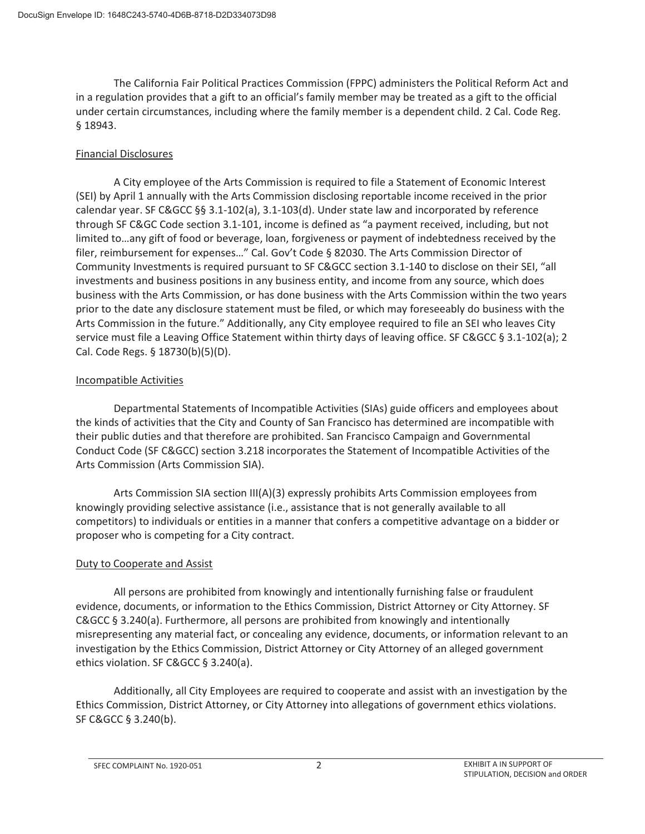The California Fair Political Practices Commission (FPPC) administers the Political Reform Act and in a regulation provides that a gift to an official's family member may be treated as a gift to the official under certain circumstances, including where the family member is a dependent child. 2 Cal. Code Reg. § 18943.

## Financial Disclosures

A City employee of the Arts Commission is required to file a Statement of Economic Interest (SEI) by April 1 annually with the Arts Commission disclosing reportable income received in the prior calendar year. SF C&GCC §§ 3.1-102(a), 3.1-103(d). Under state law and incorporated by reference through SF C&GC Code section 3.1-101, income is defined as "a payment received, including, but not limited to…any gift of food or beverage, loan, forgiveness or payment of indebtedness received by the filer, reimbursement for expenses…" Cal. Gov't Code § 82030. The Arts Commission Director of Community Investments is required pursuant to SF C&GCC section 3.1-140 to disclose on their SEI, "all investments and business positions in any business entity, and income from any source, which does business with the Arts Commission, or has done business with the Arts Commission within the two years prior to the date any disclosure statement must be filed, or which may foreseeably do business with the Arts Commission in the future." Additionally, any City employee required to file an SEI who leaves City service must file a Leaving Office Statement within thirty days of leaving office. SF C&GCC § 3.1-102(a); 2 Cal. Code Regs. § 18730(b)(5)(D).

## Incompatible Activities

Departmental Statements of Incompatible Activities (SIAs) guide officers and employees about the kinds of activities that the City and County of San Francisco has determined are incompatible with their public duties and that therefore are prohibited. San Francisco Campaign and Governmental Conduct Code (SF C&GCC) section 3.218 incorporates the Statement of Incompatible Activities of the Arts Commission (Arts Commission SIA).

Arts Commission SIA section III(A)(3) expressly prohibits Arts Commission employees from knowingly providing selective assistance (i.e., assistance that is not generally available to all competitors) to individuals or entities in a manner that confers a competitive advantage on a bidder or proposer who is competing for a City contract.

## Duty to Cooperate and Assist

 All persons are prohibited from knowingly and intentionally furnishing false or fraudulent evidence, documents, or information to the Ethics Commission, District Attorney or City Attorney. SF C&GCC § 3.240(a). Furthermore, all persons are prohibited from knowingly and intentionally misrepresenting any material fact, or concealing any evidence, documents, or information relevant to an investigation by the Ethics Commission, District Attorney or City Attorney of an alleged government ethics violation. SF C&GCC § 3.240(a).

 Additionally, all City Employees are required to cooperate and assist with an investigation by the Ethics Commission, District Attorney, or City Attorney into allegations of government ethics violations. SF C&GCC § 3.240(b).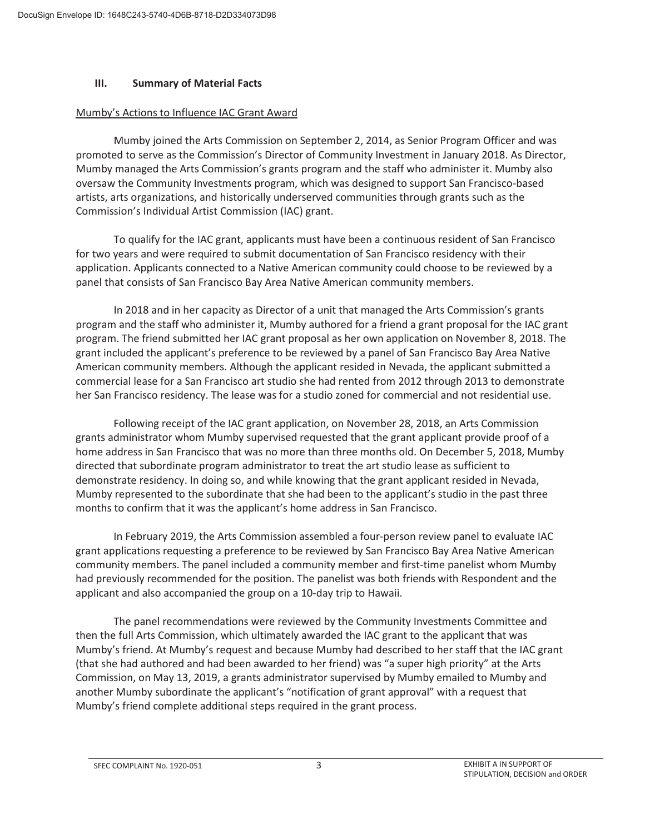#### **III. Summary of Material Facts**

#### Mumby's Actions to Influence IAC Grant Award

Mumby joined the Arts Commission on September 2, 2014, as Senior Program Officer and was promoted to serve as the Commission's Director of Community Investment in January 2018. As Director, Mumby managed the Arts Commission's grants program and the staff who administer it. Mumby also oversaw the Community Investments program, which was designed to support San Francisco-based artists, arts organizations, and historically underserved communities through grants such as the Commission's Individual Artist Commission (IAC) grant.

To qualify for the IAC grant, applicants must have been a continuous resident of San Francisco for two years and were required to submit documentation of San Francisco residency with their application. Applicants connected to a Native American community could choose to be reviewed by a panel that consists of San Francisco Bay Area Native American community members.

In 2018 and in her capacity as Director of a unit that managed the Arts Commission's grants program and the staff who administer it, Mumby authored for a friend a grant proposal for the IAC grant program. The friend submitted her IAC grant proposal as her own application on November 8, 2018. The grant included the applicant's preference to be reviewed by a panel of San Francisco Bay Area Native American community members. Although the applicant resided in Nevada, the applicant submitted a commercial lease for a San Francisco art studio she had rented from 2012 through 2013 to demonstrate her San Francisco residency. The lease was for a studio zoned for commercial and not residential use.

Following receipt of the IAC grant application, on November 28, 2018, an Arts Commission grants administrator whom Mumby supervised requested that the grant applicant provide proof of a home address in San Francisco that was no more than three months old. On December 5, 2018, Mumby directed that subordinate program administrator to treat the art studio lease as sufficient to demonstrate residency. In doing so, and while knowing that the grant applicant resided in Nevada, Mumby represented to the subordinate that she had been to the applicant's studio in the past three months to confirm that it was the applicant's home address in San Francisco.

In February 2019, the Arts Commission assembled a four-person review panel to evaluate IAC grant applications requesting a preference to be reviewed by San Francisco Bay Area Native American community members. The panel included a community member and first-time panelist whom Mumby had previously recommended for the position. The panelist was both friends with Respondent and the applicant and also accompanied the group on a 10-day trip to Hawaii.

The panel recommendations were reviewed by the Community Investments Committee and then the full Arts Commission, which ultimately awarded the IAC grant to the applicant that was Mumby's friend. At Mumby's request and because Mumby had described to her staff that the IAC grant (that she had authored and had been awarded to her friend) was "a super high priority" at the Arts Commission, on May 13, 2019, a grants administrator supervised by Mumby emailed to Mumby and another Mumby subordinate the applicant's "notification of grant approval" with a request that Mumby's friend complete additional steps required in the grant process.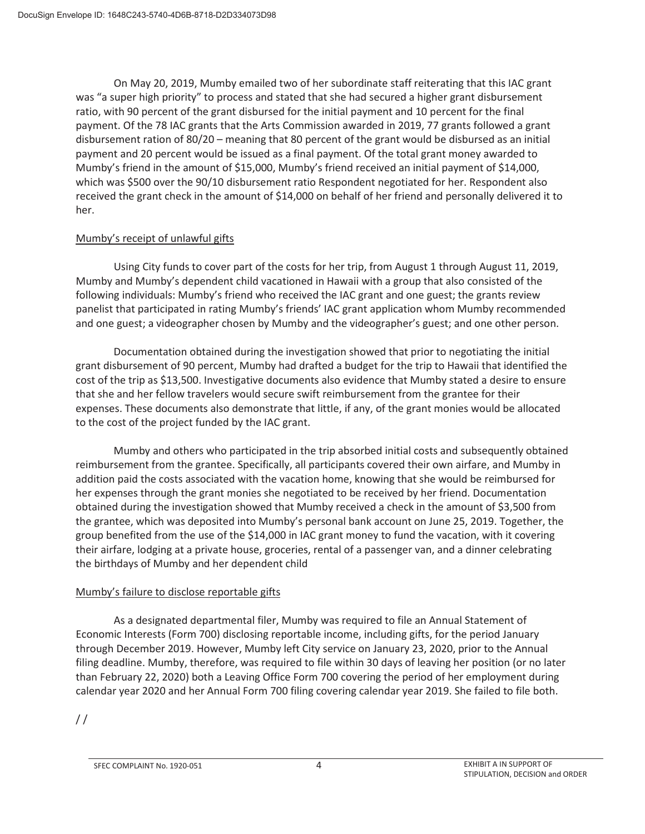On May 20, 2019, Mumby emailed two of her subordinate staff reiterating that this IAC grant was "a super high priority" to process and stated that she had secured a higher grant disbursement ratio, with 90 percent of the grant disbursed for the initial payment and 10 percent for the final payment. Of the 78 IAC grants that the Arts Commission awarded in 2019, 77 grants followed a grant disbursement ration of 80/20 – meaning that 80 percent of the grant would be disbursed as an initial payment and 20 percent would be issued as a final payment. Of the total grant money awarded to Mumby's friend in the amount of \$15,000, Mumby's friend received an initial payment of \$14,000, which was \$500 over the 90/10 disbursement ratio Respondent negotiated for her. Respondent also received the grant check in the amount of \$14,000 on behalf of her friend and personally delivered it to her.

## Mumby's receipt of unlawful gifts

Using City funds to cover part of the costs for her trip, from August 1 through August 11, 2019, Mumby and Mumby's dependent child vacationed in Hawaii with a group that also consisted of the following individuals: Mumby's friend who received the IAC grant and one guest; the grants review panelist that participated in rating Mumby's friends' IAC grant application whom Mumby recommended and one guest; a videographer chosen by Mumby and the videographer's guest; and one other person.

Documentation obtained during the investigation showed that prior to negotiating the initial grant disbursement of 90 percent, Mumby had drafted a budget for the trip to Hawaii that identified the cost of the trip as \$13,500. Investigative documents also evidence that Mumby stated a desire to ensure that she and her fellow travelers would secure swift reimbursement from the grantee for their expenses. These documents also demonstrate that little, if any, of the grant monies would be allocated to the cost of the project funded by the IAC grant.

Mumby and others who participated in the trip absorbed initial costs and subsequently obtained reimbursement from the grantee. Specifically, all participants covered their own airfare, and Mumby in addition paid the costs associated with the vacation home, knowing that she would be reimbursed for her expenses through the grant monies she negotiated to be received by her friend. Documentation obtained during the investigation showed that Mumby received a check in the amount of \$3,500 from the grantee, which was deposited into Mumby's personal bank account on June 25, 2019. Together, the group benefited from the use of the \$14,000 in IAC grant money to fund the vacation, with it covering their airfare, lodging at a private house, groceries, rental of a passenger van, and a dinner celebrating the birthdays of Mumby and her dependent child

## Mumby's failure to disclose reportable gifts

As a designated departmental filer, Mumby was required to file an Annual Statement of Economic Interests (Form 700) disclosing reportable income, including gifts, for the period January through December 2019. However, Mumby left City service on January 23, 2020, prior to the Annual filing deadline. Mumby, therefore, was required to file within 30 days of leaving her position (or no later than February 22, 2020) both a Leaving Office Form 700 covering the period of her employment during calendar year 2020 and her Annual Form 700 filing covering calendar year 2019. She failed to file both.

 $/$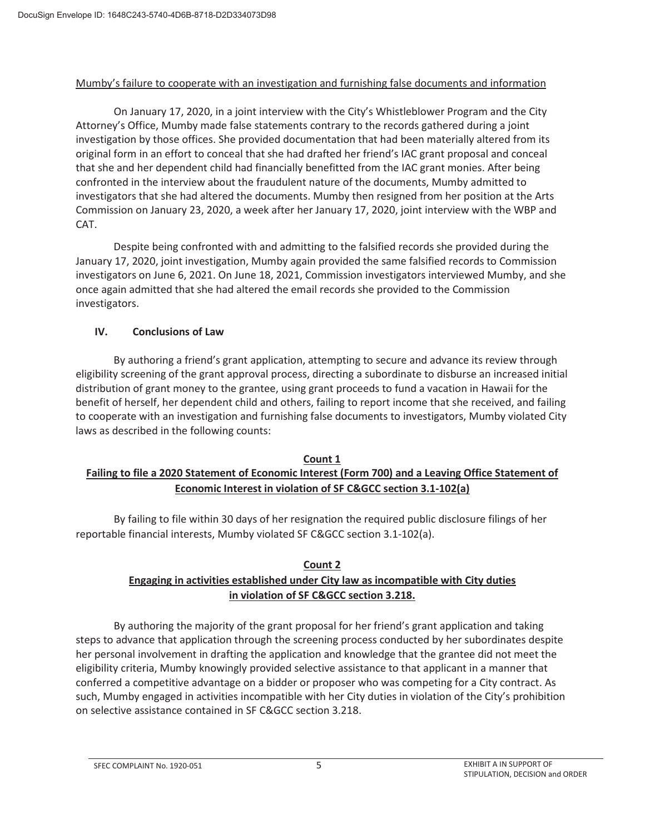#### Mumby's failure to cooperate with an investigation and furnishing false documents and information

On January 17, 2020, in a joint interview with the City's Whistleblower Program and the City Attorney's Office, Mumby made false statements contrary to the records gathered during a joint investigation by those offices. She provided documentation that had been materially altered from its original form in an effort to conceal that she had drafted her friend's IAC grant proposal and conceal that she and her dependent child had financially benefitted from the IAC grant monies. After being confronted in the interview about the fraudulent nature of the documents, Mumby admitted to investigators that she had altered the documents. Mumby then resigned from her position at the Arts Commission on January 23, 2020, a week after her January 17, 2020, joint interview with the WBP and CAT.

Despite being confronted with and admitting to the falsified records she provided during the January 17, 2020, joint investigation, Mumby again provided the same falsified records to Commission investigators on June 6, 2021. On June 18, 2021, Commission investigators interviewed Mumby, and she once again admitted that she had altered the email records she provided to the Commission investigators.

## **IV. Conclusions of Law**

By authoring a friend's grant application, attempting to secure and advance its review through eligibility screening of the grant approval process, directing a subordinate to disburse an increased initial distribution of grant money to the grantee, using grant proceeds to fund a vacation in Hawaii for the benefit of herself, her dependent child and others, failing to report income that she received, and failing to cooperate with an investigation and furnishing false documents to investigators, Mumby violated City laws as described in the following counts:

#### **Count 1 Failing to file a 2020 Statement of Economic Interest (Form 700) and a Leaving Office Statement of Economic Interest in violation of SF C&GCC section 3.1-102(a)**

 By failing to file within 30 days of her resignation the required public disclosure filings of her reportable financial interests, Mumby violated SF C&GCC section 3.1-102(a).

## **Count 2**

# **Engaging in activities established under City law as incompatible with City duties in violation of SF C&GCC section 3.218.**

By authoring the majority of the grant proposal for her friend's grant application and taking steps to advance that application through the screening process conducted by her subordinates despite her personal involvement in drafting the application and knowledge that the grantee did not meet the eligibility criteria, Mumby knowingly provided selective assistance to that applicant in a manner that conferred a competitive advantage on a bidder or proposer who was competing for a City contract. As such, Mumby engaged in activities incompatible with her City duties in violation of the City's prohibition on selective assistance contained in SF C&GCC section 3.218.

SFEC COMPLAINT No. 1920-051 6 COMPLAINT A IN SUPPORT OF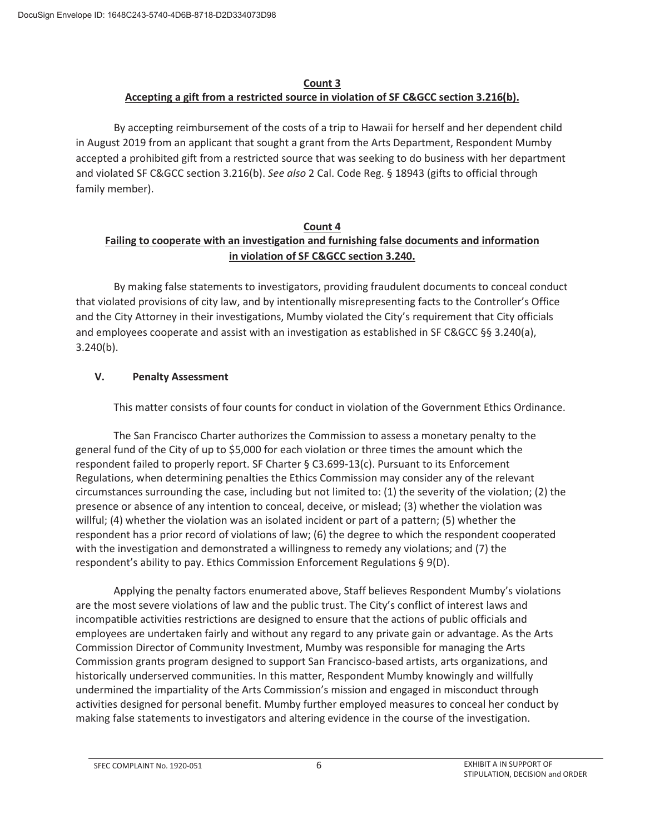## **Count 3 Accepting a gift from a restricted source in violation of SF C&GCC section 3.216(b).**

By accepting reimbursement of the costs of a trip to Hawaii for herself and her dependent child in August 2019 from an applicant that sought a grant from the Arts Department, Respondent Mumby accepted a prohibited gift from a restricted source that was seeking to do business with her department and violated SF C&GCC section 3.216(b). *See also* 2 Cal. Code Reg. § 18943 (gifts to official through family member).

## **Count 4 Failing to cooperate with an investigation and furnishing false documents and information in violation of SF C&GCC section 3.240.**

 By making false statements to investigators, providing fraudulent documents to conceal conduct that violated provisions of city law, and by intentionally misrepresenting facts to the Controller's Office and the City Attorney in their investigations, Mumby violated the City's requirement that City officials and employees cooperate and assist with an investigation as established in SF C&GCC §§ 3.240(a), 3.240(b).

## **V. Penalty Assessment**

This matter consists of four counts for conduct in violation of the Government Ethics Ordinance.

 The San Francisco Charter authorizes the Commission to assess a monetary penalty to the general fund of the City of up to \$5,000 for each violation or three times the amount which the respondent failed to properly report. SF Charter § C3.699-13(c). Pursuant to its Enforcement Regulations, when determining penalties the Ethics Commission may consider any of the relevant circumstances surrounding the case, including but not limited to: (1) the severity of the violation; (2) the presence or absence of any intention to conceal, deceive, or mislead; (3) whether the violation was willful; (4) whether the violation was an isolated incident or part of a pattern; (5) whether the respondent has a prior record of violations of law; (6) the degree to which the respondent cooperated with the investigation and demonstrated a willingness to remedy any violations; and (7) the respondent's ability to pay. Ethics Commission Enforcement Regulations § 9(D).

 Applying the penalty factors enumerated above, Staff believes Respondent Mumby's violations are the most severe violations of law and the public trust. The City's conflict of interest laws and incompatible activities restrictions are designed to ensure that the actions of public officials and employees are undertaken fairly and without any regard to any private gain or advantage. As the Arts Commission Director of Community Investment, Mumby was responsible for managing the Arts Commission grants program designed to support San Francisco-based artists, arts organizations, and historically underserved communities. In this matter, Respondent Mumby knowingly and willfully undermined the impartiality of the Arts Commission's mission and engaged in misconduct through activities designed for personal benefit. Mumby further employed measures to conceal her conduct by making false statements to investigators and altering evidence in the course of the investigation.